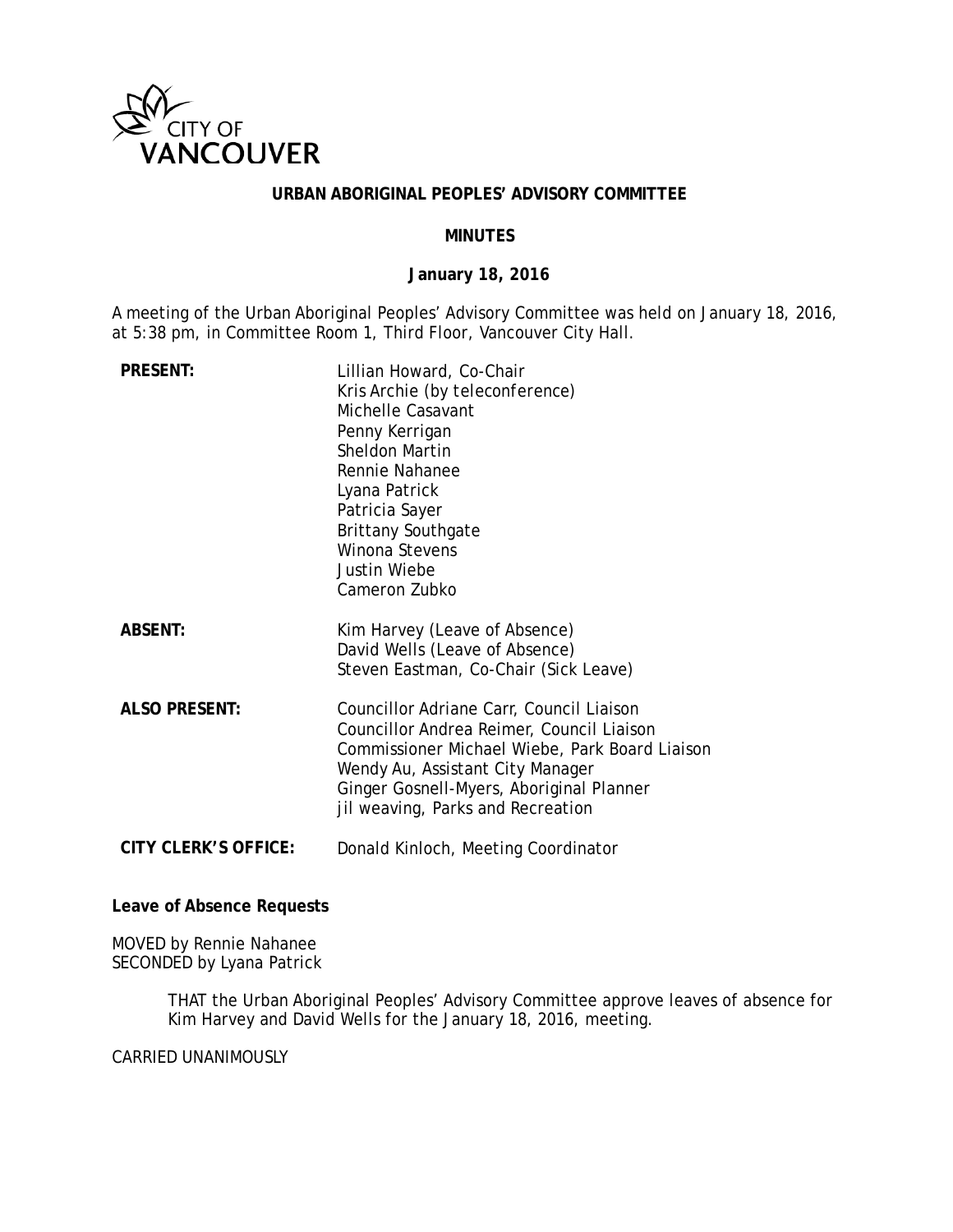

### **URBAN ABORIGINAL PEOPLES' ADVISORY COMMITTEE**

### **MINUTES**

## **January 18, 2016**

A meeting of the Urban Aboriginal Peoples' Advisory Committee was held on January 18, 2016, at 5:38 pm, in Committee Room 1, Third Floor, Vancouver City Hall.

| <b>PRESENT:</b>      | Lillian Howard, Co-Chair<br>Kris Archie (by teleconference)<br>Michelle Casavant<br>Penny Kerrigan<br>Sheldon Martin<br>Rennie Nahanee<br>Lyana Patrick<br>Patricia Sayer<br><b>Brittany Southgate</b><br>Winona Stevens<br>Justin Wiebe<br>Cameron Zubko    |
|----------------------|--------------------------------------------------------------------------------------------------------------------------------------------------------------------------------------------------------------------------------------------------------------|
| <b>ABSENT:</b>       | Kim Harvey (Leave of Absence)<br>David Wells (Leave of Absence)<br>Steven Eastman, Co-Chair (Sick Leave)                                                                                                                                                     |
| <b>ALSO PRESENT:</b> | Councillor Adriane Carr, Council Liaison<br>Councillor Andrea Reimer, Council Liaison<br>Commissioner Michael Wiebe, Park Board Liaison<br>Wendy Au, Assistant City Manager<br>Ginger Gosnell-Myers, Aboriginal Planner<br>jil weaving, Parks and Recreation |
| CITY CLERK'S OFFICE: | Donald Kinloch, Meeting Coordinator                                                                                                                                                                                                                          |

## **Leave of Absence Requests**

MOVED by Rennie Nahanee SECONDED by Lyana Patrick

> THAT the Urban Aboriginal Peoples' Advisory Committee approve leaves of absence for Kim Harvey and David Wells for the January 18, 2016, meeting.

CARRIED UNANIMOUSLY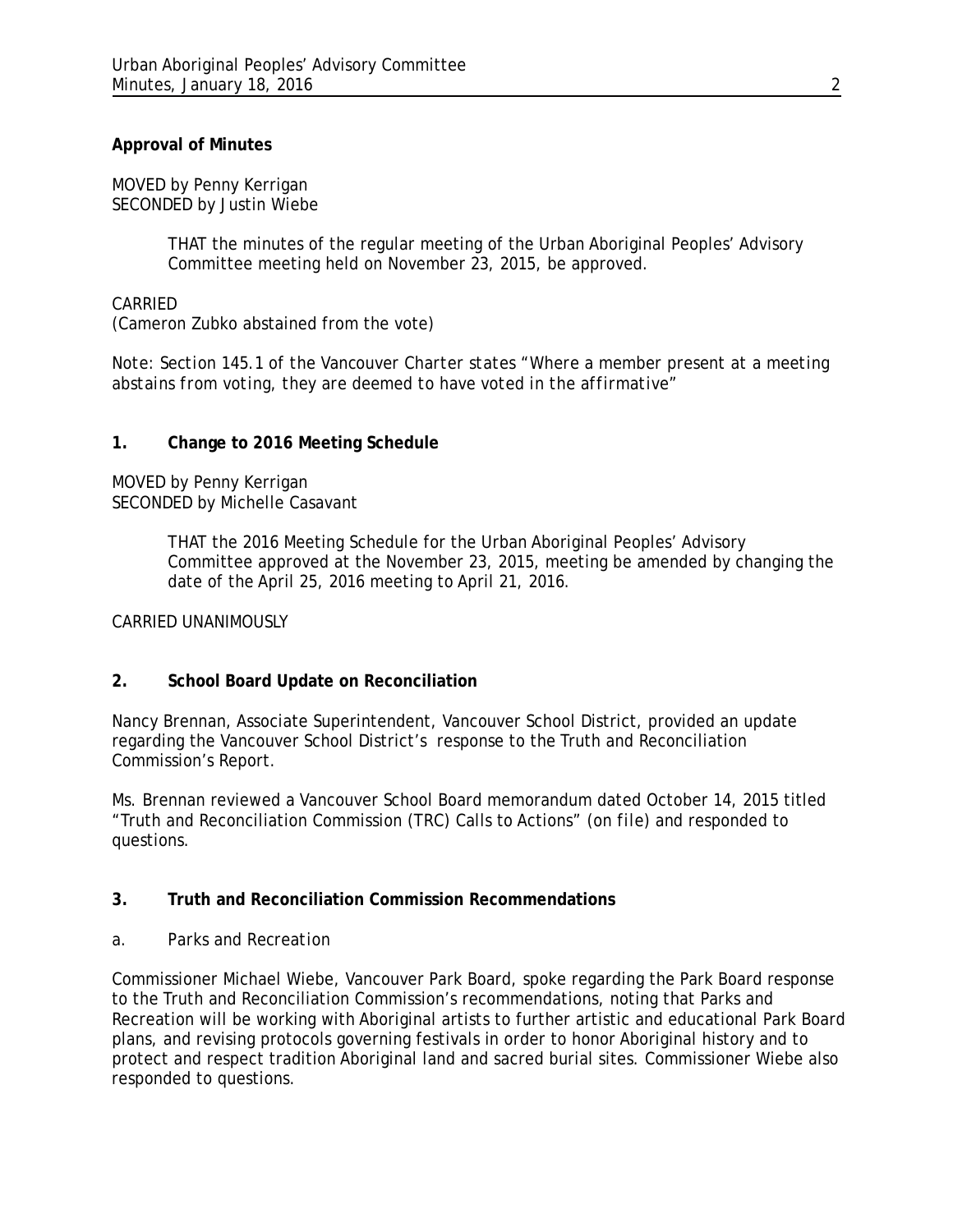## **Approval of Minutes**

MOVED by Penny Kerrigan SECONDED by Justin Wiebe

> THAT the minutes of the regular meeting of the Urban Aboriginal Peoples' Advisory Committee meeting held on November 23, 2015, be approved.

## CARRIED

(Cameron Zubko abstained from the vote)

*Note: Section 145.1 of the Vancouver Charter states "Where a member present at a meeting abstains from voting, they are deemed to have voted in the affirmative"*

## **1. Change to 2016 Meeting Schedule**

MOVED by Penny Kerrigan SECONDED by Michelle Casavant

> THAT the 2016 Meeting Schedule for the Urban Aboriginal Peoples' Advisory Committee approved at the November 23, 2015, meeting be amended by changing the date of the April 25, 2016 meeting to April 21, 2016.

### CARRIED UNANIMOUSLY

# **2. School Board Update on Reconciliation**

Nancy Brennan, Associate Superintendent, Vancouver School District, provided an update regarding the Vancouver School District's response to the Truth and Reconciliation Commission's Report.

Ms. Brennan reviewed a Vancouver School Board memorandum dated October 14, 2015 titled "Truth and Reconciliation Commission (TRC) Calls to Actions" *(on file)* and responded to questions.

# **3. Truth and Reconciliation Commission Recommendations**

### *a. Parks and Recreation*

Commissioner Michael Wiebe, Vancouver Park Board, spoke regarding the Park Board response to the Truth and Reconciliation Commission's recommendations, noting that Parks and Recreation will be working with Aboriginal artists to further artistic and educational Park Board plans, and revising protocols governing festivals in order to honor Aboriginal history and to protect and respect tradition Aboriginal land and sacred burial sites. Commissioner Wiebe also responded to questions.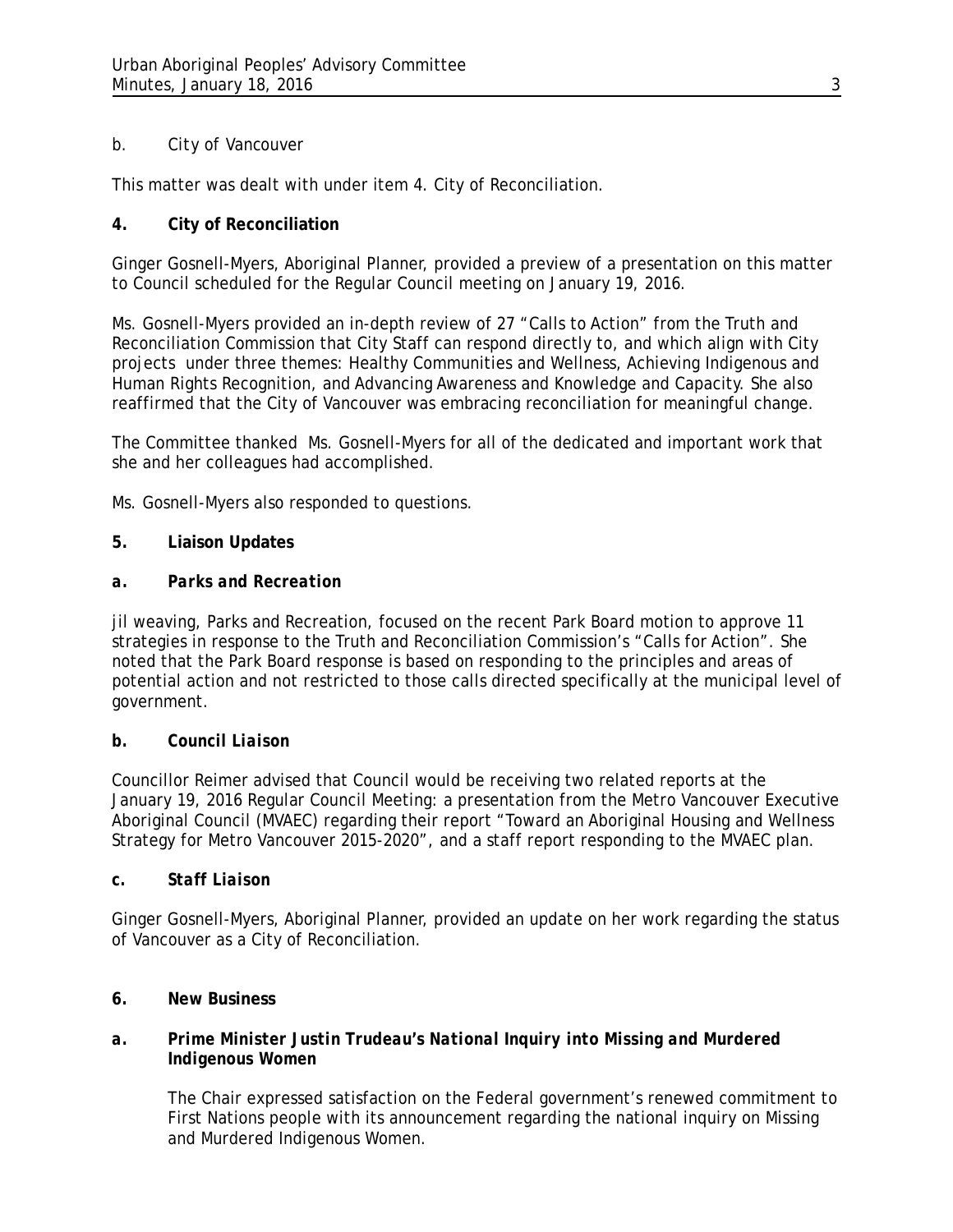# *b. City of Vancouver*

This matter was dealt with under item 4. City of Reconciliation.

# **4. City of Reconciliation**

Ginger Gosnell-Myers, Aboriginal Planner, provided a preview of a presentation on this matter to Council scheduled for the Regular Council meeting on January 19, 2016.

Ms. Gosnell-Myers provided an in-depth review of 27 "Calls to Action" from the Truth and Reconciliation Commission that City Staff can respond directly to, and which align with City projects under three themes: Healthy Communities and Wellness, Achieving Indigenous and Human Rights Recognition, and Advancing Awareness and Knowledge and Capacity. She also reaffirmed that the City of Vancouver was embracing reconciliation for meaningful change.

The Committee thanked Ms. Gosnell-Myers for all of the dedicated and important work that she and her colleagues had accomplished.

Ms. Gosnell-Myers also responded to questions.

# **5. Liaison Updates**

# *a. Parks and Recreation*

jil weaving, Parks and Recreation, focused on the recent Park Board motion to approve 11 strategies in response to the Truth and Reconciliation Commission's "Calls for Action". She noted that the Park Board response is based on responding to the principles and areas of potential action and not restricted to those calls directed specifically at the municipal level of government.

# *b. Council Liaison*

Councillor Reimer advised that Council would be receiving two related reports at the January 19, 2016 Regular Council Meeting: a presentation from the Metro Vancouver Executive Aboriginal Council (MVAEC) regarding their report "Toward an Aboriginal Housing and Wellness Strategy for Metro Vancouver 2015-2020", and a staff report responding to the MVAEC plan.

# *c. Staff Liaison*

Ginger Gosnell-Myers, Aboriginal Planner, provided an update on her work regarding the status of Vancouver as a City of Reconciliation.

# **6. New Business**

# *a. Prime Minister Justin Trudeau's National Inquiry into Missing and Murdered Indigenous Women*

The Chair expressed satisfaction on the Federal government's renewed commitment to First Nations people with its announcement regarding the national inquiry on Missing and Murdered Indigenous Women.